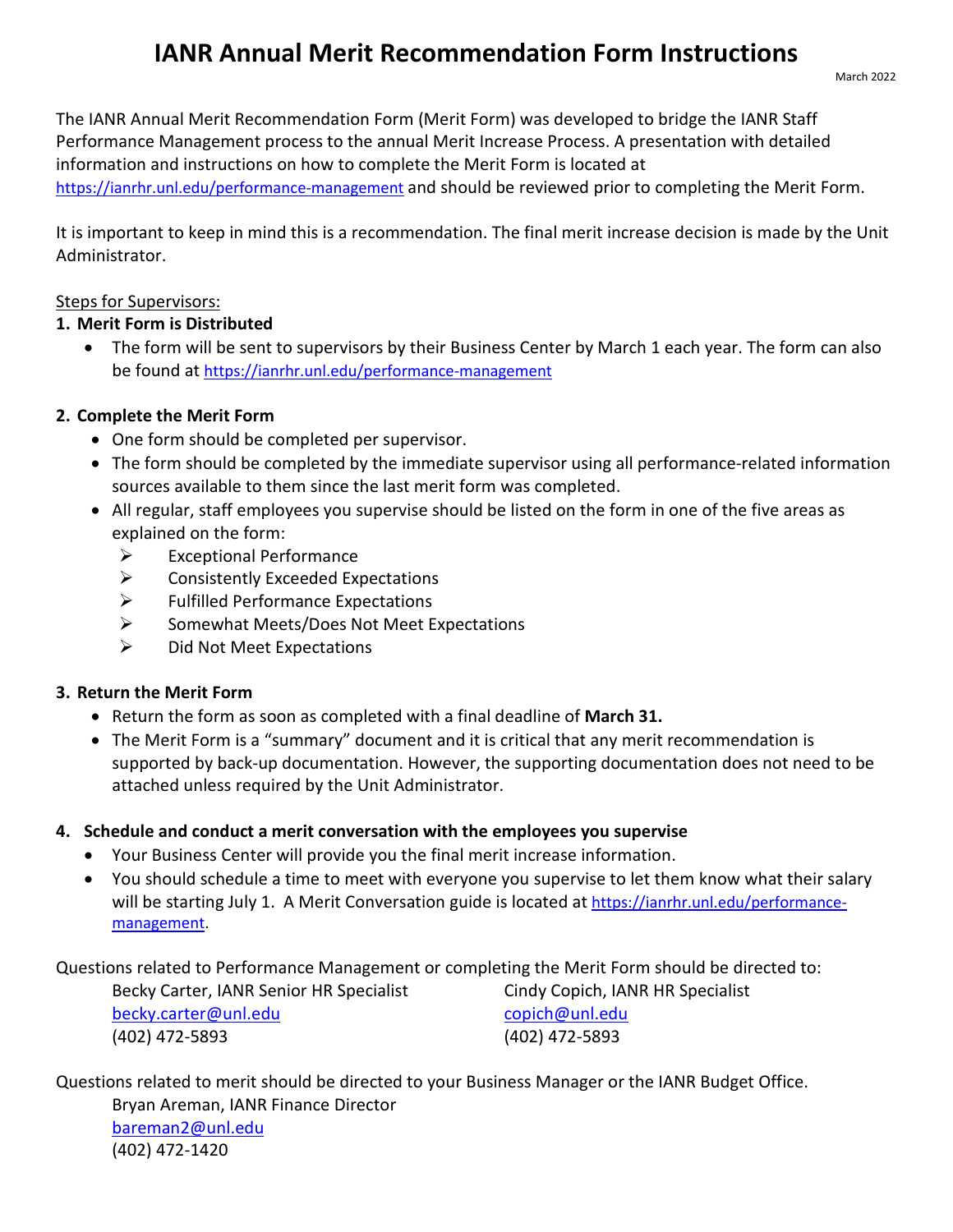# **IANR Annual Merit Recommendation Form Instructions**

The IANR Annual Merit Recommendation Form (Merit Form) was developed to bridge the IANR Staff Performance Management process to the annual Merit Increase Process. A presentation with detailed information and instructions on how to complete the Merit Form is located at

<https://ianrhr.unl.edu/performance-management> and should be reviewed prior to completing the Merit Form.

It is important to keep in mind this is a recommendation. The final merit increase decision is made by the Unit Administrator.

### Steps for Supervisors:

### **1. Merit Form is Distributed**

• The form will be sent to supervisors by their Business Center by March 1 each year. The form can also be found at<https://ianrhr.unl.edu/performance-management>

## **2. Complete the Merit Form**

- One form should be completed per supervisor.
- The form should be completed by the immediate supervisor using all performance-related information sources available to them since the last merit form was completed.
- All regular, staff employees you supervise should be listed on the form in one of the five areas as explained on the form:
	- $\triangleright$  Exceptional Performance
	- $\triangleright$  Consistently Exceeded Expectations
	- $\triangleright$  Fulfilled Performance Expectations
	- $\triangleright$  Somewhat Meets/Does Not Meet Expectations
	- $\triangleright$  Did Not Meet Expectations

## **3. Return the Merit Form**

- Return the form as soon as completed with a final deadline of **March 31.**
- The Merit Form is a "summary" document and it is critical that any merit recommendation is supported by back-up documentation. However, the supporting documentation does not need to be attached unless required by the Unit Administrator.

## **4. Schedule and conduct a merit conversation with the employees you supervise**

- Your Business Center will provide you the final merit increase information.
- You should schedule a time to meet with everyone you supervise to let them know what their salary will be starting July 1. A Merit Conversation guide is located at [https://ianrhr.unl.edu/performance](https://ianrhr.unl.edu/performance-management)[management.](https://ianrhr.unl.edu/performance-management)

Questions related to Performance Management or completing the Merit Form should be directed to:

| Becky Carter, IANR Senior HR Specialist |
|-----------------------------------------|
| becky.carter@unl.edu                    |
| (402) 472-5893                          |

Becky Carter, IANR Senior HR Specialist Cindy Copich, IANR HR Specialist [copich@unl.edu](mailto:copich@unl.edu) (402) 472-5893 (402) 472-5893

Questions related to merit should be directed to your Business Manager or the IANR Budget Office. Bryan Areman, IANR Finance Director [bareman2@unl.edu](mailto:bareman2@unl.edu) (402) 472-1420